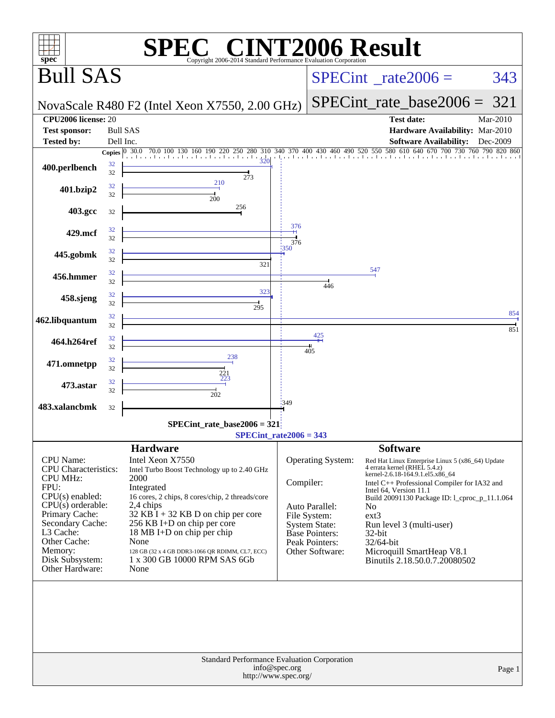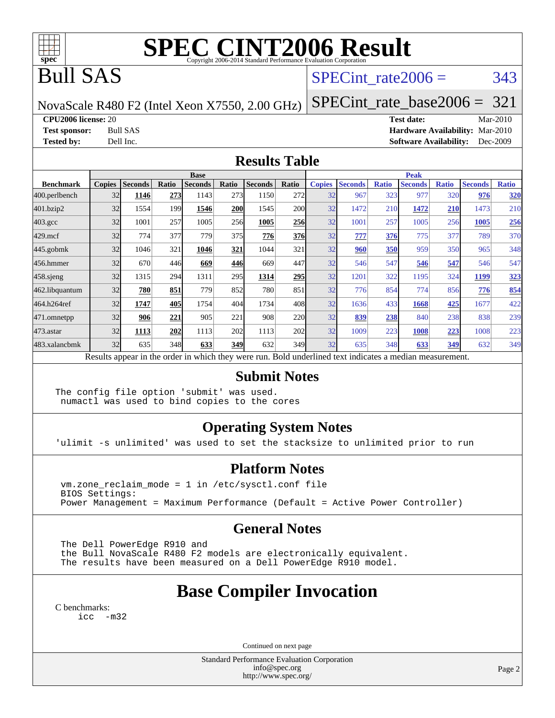

# **[SPEC CINT2006 Result](http://www.spec.org/auto/cpu2006/Docs/result-fields.html#SPECCINT2006Result)**

## Bull SAS

### SPECint rate $2006 = 343$

NovaScale R480 F2 (Intel Xeon X7550, 2.00 GHz)

[SPECint\\_rate\\_base2006 =](http://www.spec.org/auto/cpu2006/Docs/result-fields.html#SPECintratebase2006) 321

**[CPU2006 license:](http://www.spec.org/auto/cpu2006/Docs/result-fields.html#CPU2006license)** 20 **[Test date:](http://www.spec.org/auto/cpu2006/Docs/result-fields.html#Testdate)** Mar-2010

**[Test sponsor:](http://www.spec.org/auto/cpu2006/Docs/result-fields.html#Testsponsor)** Bull SAS **[Hardware Availability:](http://www.spec.org/auto/cpu2006/Docs/result-fields.html#HardwareAvailability)** Mar-2010 **[Tested by:](http://www.spec.org/auto/cpu2006/Docs/result-fields.html#Testedby)** Dell Inc. **[Software Availability:](http://www.spec.org/auto/cpu2006/Docs/result-fields.html#SoftwareAvailability)** Dec-2009

#### **[Results Table](http://www.spec.org/auto/cpu2006/Docs/result-fields.html#ResultsTable)**

|                  | <b>Base</b>                                                                                              |                |       |                |            |                |            |               | <b>Peak</b>    |              |                |              |                |              |  |
|------------------|----------------------------------------------------------------------------------------------------------|----------------|-------|----------------|------------|----------------|------------|---------------|----------------|--------------|----------------|--------------|----------------|--------------|--|
| <b>Benchmark</b> | <b>Copies</b>                                                                                            | <b>Seconds</b> | Ratio | <b>Seconds</b> | Ratio      | <b>Seconds</b> | Ratio      | <b>Copies</b> | <b>Seconds</b> | <b>Ratio</b> | <b>Seconds</b> | <b>Ratio</b> | <b>Seconds</b> | <b>Ratio</b> |  |
| 400.perlbench    | 32                                                                                                       | 1146           | 273   | 1143           | 273        | 1150           | 272        | 32            | 967            | 323          | 977            | 320          | 976            | <b>320</b>   |  |
| 401.bzip2        | 32                                                                                                       | 1554           | 199   | 1546           | <b>200</b> | 1545           | <b>200</b> | 32            | 1472           | 210          | 1472           | <b>210</b>   | 1473           | 210          |  |
| $403.\text{gcc}$ | 32                                                                                                       | 1001           | 257   | 1005           | 256        | 1005           | <b>256</b> | 32            | 1001           | 257          | 1005           | 256          | 1005           | 256          |  |
| $429$ .mcf       | 32                                                                                                       | 774            | 377   | 779            | 375        | 776            | 376        | 32            | 777            | 376          | 775            | 377          | 789            | 370          |  |
| $445$ .gobmk     | 32                                                                                                       | 1046           | 321   | 1046           | 321        | 1044           | 321        | 32            | 960            | 350          | 959            | 350          | 965            | 348          |  |
| 456.hmmer        | 32                                                                                                       | 670            | 446   | 669            | 446        | 669            | 447        | 32            | 546            | 547          | 546            | 547          | 546            | 547          |  |
| $458$ .sjeng     | 32                                                                                                       | 1315           | 294   | 1311           | 295        | 1314           | 295        | 32            | 1201           | 322          | 1195           | 324          | 1199           | <u>323</u>   |  |
| 462.libquantum   | 32                                                                                                       | 780            | 851   | 779            | 852        | 780            | 851        | 32            | 776            | 854          | 774            | 856          | 776            | 854          |  |
| 464.h264ref      | 32                                                                                                       | 1747           | 405   | 1754           | 404        | 1734           | 408        | 32            | 1636           | 433          | 1668           | 425          | 1677           | 422          |  |
| 471.omnetpp      | 32                                                                                                       | 906            | 221   | 905            | 221        | 908            | 220        | 32            | 839            | 238          | 840            | 238          | 838            | 239          |  |
| 473.astar        | 32                                                                                                       | 1113           | 202   | 1113           | 202        | 1113           | 202        | 32            | 1009           | 223          | 1008           | 223          | 1008           | 223          |  |
| 483.xalancbmk    | 32                                                                                                       | 635            | 348   | 633            | <b>349</b> | 632            | 349        | 32            | 635            | 348          | 633            | 349          | 632            | 349          |  |
|                  | Results appear in the order in which they were run. Bold underlined text indicates a median measurement. |                |       |                |            |                |            |               |                |              |                |              |                |              |  |

#### **[Submit Notes](http://www.spec.org/auto/cpu2006/Docs/result-fields.html#SubmitNotes)**

The config file option 'submit' was used. numactl was used to bind copies to the cores

### **[Operating System Notes](http://www.spec.org/auto/cpu2006/Docs/result-fields.html#OperatingSystemNotes)**

'ulimit -s unlimited' was used to set the stacksize to unlimited prior to run

#### **[Platform Notes](http://www.spec.org/auto/cpu2006/Docs/result-fields.html#PlatformNotes)**

 vm.zone\_reclaim\_mode = 1 in /etc/sysctl.conf file BIOS Settings: Power Management = Maximum Performance (Default = Active Power Controller)

#### **[General Notes](http://www.spec.org/auto/cpu2006/Docs/result-fields.html#GeneralNotes)**

 The Dell PowerEdge R910 and the Bull NovaScale R480 F2 models are electronically equivalent. The results have been measured on a Dell PowerEdge R910 model.

## **[Base Compiler Invocation](http://www.spec.org/auto/cpu2006/Docs/result-fields.html#BaseCompilerInvocation)**

[C benchmarks](http://www.spec.org/auto/cpu2006/Docs/result-fields.html#Cbenchmarks):

[icc -m32](http://www.spec.org/cpu2006/results/res2010q3/cpu2006-20100621-11919.flags.html#user_CCbase_intel_icc_32bit_5ff4a39e364c98233615fdd38438c6f2)

Continued on next page

Standard Performance Evaluation Corporation [info@spec.org](mailto:info@spec.org) <http://www.spec.org/>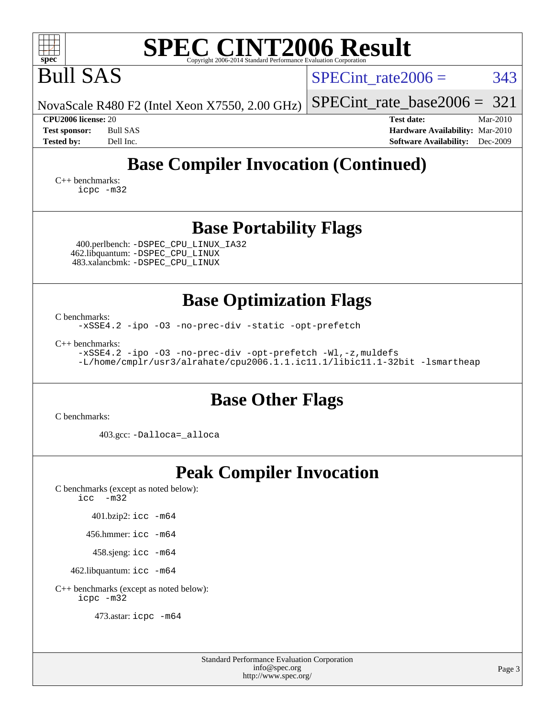| <b>SPEC CINT2006 Result</b><br>$spec^*$<br>Copyright 2006-2014 Standard Performance Evaluation Corporation                                                                                                                                                                    |                                                                                                            |  |  |  |  |  |  |
|-------------------------------------------------------------------------------------------------------------------------------------------------------------------------------------------------------------------------------------------------------------------------------|------------------------------------------------------------------------------------------------------------|--|--|--|--|--|--|
| <b>Bull SAS</b>                                                                                                                                                                                                                                                               | 343<br>SPECint rate $2006 =$                                                                               |  |  |  |  |  |  |
| NovaScale R480 F2 (Intel Xeon X7550, 2.00 GHz)                                                                                                                                                                                                                                | 321<br>$SPECint_rate_base2006 =$                                                                           |  |  |  |  |  |  |
| CPU2006 license: 20<br><b>Bull SAS</b><br><b>Test sponsor:</b><br>Dell Inc.<br><b>Tested by:</b>                                                                                                                                                                              | <b>Test date:</b><br>Mar-2010<br>Hardware Availability: Mar-2010<br><b>Software Availability:</b> Dec-2009 |  |  |  |  |  |  |
| <b>Base Compiler Invocation (Continued)</b><br>$C_{++}$ benchmarks:<br>icpc -m32                                                                                                                                                                                              |                                                                                                            |  |  |  |  |  |  |
| <b>Base Portability Flags</b><br>400.perlbench: - DSPEC_CPU_LINUX_IA32<br>462.libquantum: -DSPEC_CPU_LINUX<br>483.xalancbmk: -DSPEC_CPU_LINUX                                                                                                                                 |                                                                                                            |  |  |  |  |  |  |
| <b>Base Optimization Flags</b><br>C benchmarks:<br>-xSSE4.2 -ipo -03 -no-prec-div -static -opt-prefetch<br>$C_{++}$ benchmarks:<br>-xSSE4.2 -ipo -03 -no-prec-div -opt-prefetch -Wl,-z, muldefs<br>-L/home/cmplr/usr3/alrahate/cpu2006.1.1.ic11.1/libic11.1-32bit -lsmartheap |                                                                                                            |  |  |  |  |  |  |
| <b>Base Other Flags</b><br>C benchmarks:<br>403.gcc: -Dalloca=_alloca                                                                                                                                                                                                         |                                                                                                            |  |  |  |  |  |  |
| <b>Peak Compiler Invocation</b><br>C benchmarks (except as noted below):<br>icc<br>$-m32$<br>401.bzip2: icc -m64<br>456.hmmer: icc -m64<br>458.sjeng: icc -m64<br>462.libquantum: icc -m64<br>C++ benchmarks (except as noted below):                                         |                                                                                                            |  |  |  |  |  |  |

[icpc -m32](http://www.spec.org/cpu2006/results/res2010q3/cpu2006-20100621-11919.flags.html#user_CXXpeak_intel_icpc_32bit_4e5a5ef1a53fd332b3c49e69c3330699)

473.astar: [icpc -m64](http://www.spec.org/cpu2006/results/res2010q3/cpu2006-20100621-11919.flags.html#user_peakCXXLD473_astar_intel_icpc_64bit_fc66a5337ce925472a5c54ad6a0de310)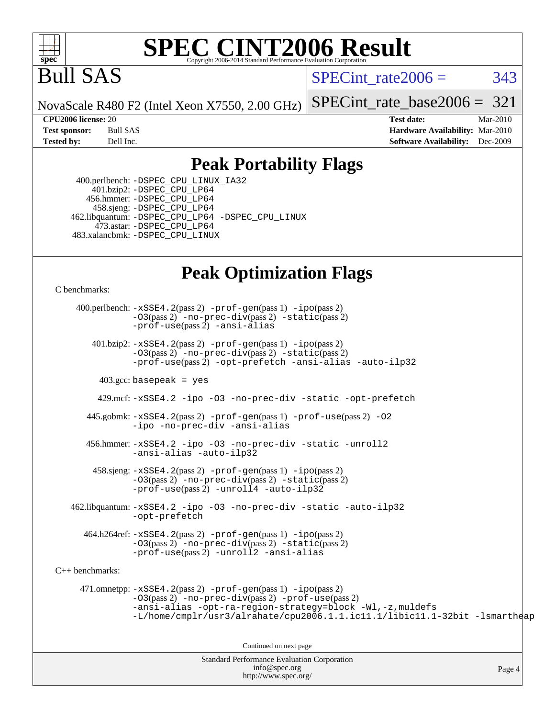

# **[SPEC CINT2006 Result](http://www.spec.org/auto/cpu2006/Docs/result-fields.html#SPECCINT2006Result)**

# Bull SAS

SPECint rate $2006 = 343$ 

NovaScale R480 F2 (Intel Xeon X7550, 2.00 GHz)

[SPECint\\_rate\\_base2006 =](http://www.spec.org/auto/cpu2006/Docs/result-fields.html#SPECintratebase2006)  $321$ 

**[CPU2006 license:](http://www.spec.org/auto/cpu2006/Docs/result-fields.html#CPU2006license)** 20 **[Test date:](http://www.spec.org/auto/cpu2006/Docs/result-fields.html#Testdate)** Mar-2010 **[Test sponsor:](http://www.spec.org/auto/cpu2006/Docs/result-fields.html#Testsponsor)** Bull SAS **[Hardware Availability:](http://www.spec.org/auto/cpu2006/Docs/result-fields.html#HardwareAvailability)** Mar-2010 **[Tested by:](http://www.spec.org/auto/cpu2006/Docs/result-fields.html#Testedby)** Dell Inc. **[Software Availability:](http://www.spec.org/auto/cpu2006/Docs/result-fields.html#SoftwareAvailability)** Dec-2009

### **[Peak Portability Flags](http://www.spec.org/auto/cpu2006/Docs/result-fields.html#PeakPortabilityFlags)**

 400.perlbench: [-DSPEC\\_CPU\\_LINUX\\_IA32](http://www.spec.org/cpu2006/results/res2010q3/cpu2006-20100621-11919.flags.html#b400.perlbench_peakCPORTABILITY_DSPEC_CPU_LINUX_IA32) 401.bzip2: [-DSPEC\\_CPU\\_LP64](http://www.spec.org/cpu2006/results/res2010q3/cpu2006-20100621-11919.flags.html#suite_peakCPORTABILITY401_bzip2_DSPEC_CPU_LP64) 456.hmmer: [-DSPEC\\_CPU\\_LP64](http://www.spec.org/cpu2006/results/res2010q3/cpu2006-20100621-11919.flags.html#suite_peakCPORTABILITY456_hmmer_DSPEC_CPU_LP64) 458.sjeng: [-DSPEC\\_CPU\\_LP64](http://www.spec.org/cpu2006/results/res2010q3/cpu2006-20100621-11919.flags.html#suite_peakCPORTABILITY458_sjeng_DSPEC_CPU_LP64) 462.libquantum: [-DSPEC\\_CPU\\_LP64](http://www.spec.org/cpu2006/results/res2010q3/cpu2006-20100621-11919.flags.html#suite_peakCPORTABILITY462_libquantum_DSPEC_CPU_LP64) [-DSPEC\\_CPU\\_LINUX](http://www.spec.org/cpu2006/results/res2010q3/cpu2006-20100621-11919.flags.html#b462.libquantum_peakCPORTABILITY_DSPEC_CPU_LINUX) 473.astar: [-DSPEC\\_CPU\\_LP64](http://www.spec.org/cpu2006/results/res2010q3/cpu2006-20100621-11919.flags.html#suite_peakCXXPORTABILITY473_astar_DSPEC_CPU_LP64) 483.xalancbmk: [-DSPEC\\_CPU\\_LINUX](http://www.spec.org/cpu2006/results/res2010q3/cpu2006-20100621-11919.flags.html#b483.xalancbmk_peakCXXPORTABILITY_DSPEC_CPU_LINUX)

## **[Peak Optimization Flags](http://www.spec.org/auto/cpu2006/Docs/result-fields.html#PeakOptimizationFlags)**

[C benchmarks](http://www.spec.org/auto/cpu2006/Docs/result-fields.html#Cbenchmarks):

 400.perlbench: [-xSSE4.2](http://www.spec.org/cpu2006/results/res2010q3/cpu2006-20100621-11919.flags.html#user_peakPASS2_CFLAGSPASS2_LDCFLAGS400_perlbench_f-xSSE42_f91528193cf0b216347adb8b939d4107)(pass 2) [-prof-gen](http://www.spec.org/cpu2006/results/res2010q3/cpu2006-20100621-11919.flags.html#user_peakPASS1_CFLAGSPASS1_LDCFLAGS400_perlbench_prof_gen_e43856698f6ca7b7e442dfd80e94a8fc)(pass 1) [-ipo](http://www.spec.org/cpu2006/results/res2010q3/cpu2006-20100621-11919.flags.html#user_peakPASS2_CFLAGSPASS2_LDCFLAGS400_perlbench_f-ipo)(pass 2) [-O3](http://www.spec.org/cpu2006/results/res2010q3/cpu2006-20100621-11919.flags.html#user_peakPASS2_CFLAGSPASS2_LDCFLAGS400_perlbench_f-O3)(pass 2) [-no-prec-div](http://www.spec.org/cpu2006/results/res2010q3/cpu2006-20100621-11919.flags.html#user_peakPASS2_CFLAGSPASS2_LDCFLAGS400_perlbench_f-no-prec-div)(pass 2) [-static](http://www.spec.org/cpu2006/results/res2010q3/cpu2006-20100621-11919.flags.html#user_peakPASS2_CFLAGSPASS2_LDCFLAGS400_perlbench_f-static)(pass 2) [-prof-use](http://www.spec.org/cpu2006/results/res2010q3/cpu2006-20100621-11919.flags.html#user_peakPASS2_CFLAGSPASS2_LDCFLAGS400_perlbench_prof_use_bccf7792157ff70d64e32fe3e1250b55)(pass 2) [-ansi-alias](http://www.spec.org/cpu2006/results/res2010q3/cpu2006-20100621-11919.flags.html#user_peakCOPTIMIZE400_perlbench_f-ansi-alias) 401.bzip2: [-xSSE4.2](http://www.spec.org/cpu2006/results/res2010q3/cpu2006-20100621-11919.flags.html#user_peakPASS2_CFLAGSPASS2_LDCFLAGS401_bzip2_f-xSSE42_f91528193cf0b216347adb8b939d4107)(pass 2) [-prof-gen](http://www.spec.org/cpu2006/results/res2010q3/cpu2006-20100621-11919.flags.html#user_peakPASS1_CFLAGSPASS1_LDCFLAGS401_bzip2_prof_gen_e43856698f6ca7b7e442dfd80e94a8fc)(pass 1) [-ipo](http://www.spec.org/cpu2006/results/res2010q3/cpu2006-20100621-11919.flags.html#user_peakPASS2_CFLAGSPASS2_LDCFLAGS401_bzip2_f-ipo)(pass 2) [-O3](http://www.spec.org/cpu2006/results/res2010q3/cpu2006-20100621-11919.flags.html#user_peakPASS2_CFLAGSPASS2_LDCFLAGS401_bzip2_f-O3)(pass 2) [-no-prec-div](http://www.spec.org/cpu2006/results/res2010q3/cpu2006-20100621-11919.flags.html#user_peakPASS2_CFLAGSPASS2_LDCFLAGS401_bzip2_f-no-prec-div)(pass 2) [-static](http://www.spec.org/cpu2006/results/res2010q3/cpu2006-20100621-11919.flags.html#user_peakPASS2_CFLAGSPASS2_LDCFLAGS401_bzip2_f-static)(pass 2) [-prof-use](http://www.spec.org/cpu2006/results/res2010q3/cpu2006-20100621-11919.flags.html#user_peakPASS2_CFLAGSPASS2_LDCFLAGS401_bzip2_prof_use_bccf7792157ff70d64e32fe3e1250b55)(pass 2) [-opt-prefetch](http://www.spec.org/cpu2006/results/res2010q3/cpu2006-20100621-11919.flags.html#user_peakCOPTIMIZE401_bzip2_f-opt-prefetch) [-ansi-alias](http://www.spec.org/cpu2006/results/res2010q3/cpu2006-20100621-11919.flags.html#user_peakCOPTIMIZE401_bzip2_f-ansi-alias) [-auto-ilp32](http://www.spec.org/cpu2006/results/res2010q3/cpu2006-20100621-11919.flags.html#user_peakCOPTIMIZE401_bzip2_f-auto-ilp32)  $403.\text{gcc: basepeak}$  = yes 429.mcf: [-xSSE4.2](http://www.spec.org/cpu2006/results/res2010q3/cpu2006-20100621-11919.flags.html#user_peakCOPTIMIZE429_mcf_f-xSSE42_f91528193cf0b216347adb8b939d4107) [-ipo](http://www.spec.org/cpu2006/results/res2010q3/cpu2006-20100621-11919.flags.html#user_peakCOPTIMIZE429_mcf_f-ipo) [-O3](http://www.spec.org/cpu2006/results/res2010q3/cpu2006-20100621-11919.flags.html#user_peakCOPTIMIZE429_mcf_f-O3) [-no-prec-div](http://www.spec.org/cpu2006/results/res2010q3/cpu2006-20100621-11919.flags.html#user_peakCOPTIMIZE429_mcf_f-no-prec-div) [-static](http://www.spec.org/cpu2006/results/res2010q3/cpu2006-20100621-11919.flags.html#user_peakCOPTIMIZE429_mcf_f-static) [-opt-prefetch](http://www.spec.org/cpu2006/results/res2010q3/cpu2006-20100621-11919.flags.html#user_peakCOPTIMIZE429_mcf_f-opt-prefetch) 445.gobmk: [-xSSE4.2](http://www.spec.org/cpu2006/results/res2010q3/cpu2006-20100621-11919.flags.html#user_peakPASS2_CFLAGSPASS2_LDCFLAGS445_gobmk_f-xSSE42_f91528193cf0b216347adb8b939d4107)(pass 2) [-prof-gen](http://www.spec.org/cpu2006/results/res2010q3/cpu2006-20100621-11919.flags.html#user_peakPASS1_CFLAGSPASS1_LDCFLAGS445_gobmk_prof_gen_e43856698f6ca7b7e442dfd80e94a8fc)(pass 1) [-prof-use](http://www.spec.org/cpu2006/results/res2010q3/cpu2006-20100621-11919.flags.html#user_peakPASS2_CFLAGSPASS2_LDCFLAGS445_gobmk_prof_use_bccf7792157ff70d64e32fe3e1250b55)(pass 2) [-O2](http://www.spec.org/cpu2006/results/res2010q3/cpu2006-20100621-11919.flags.html#user_peakCOPTIMIZE445_gobmk_f-O2) [-ipo](http://www.spec.org/cpu2006/results/res2010q3/cpu2006-20100621-11919.flags.html#user_peakCOPTIMIZE445_gobmk_f-ipo) [-no-prec-div](http://www.spec.org/cpu2006/results/res2010q3/cpu2006-20100621-11919.flags.html#user_peakCOPTIMIZE445_gobmk_f-no-prec-div) [-ansi-alias](http://www.spec.org/cpu2006/results/res2010q3/cpu2006-20100621-11919.flags.html#user_peakCOPTIMIZE445_gobmk_f-ansi-alias) 456.hmmer: [-xSSE4.2](http://www.spec.org/cpu2006/results/res2010q3/cpu2006-20100621-11919.flags.html#user_peakCOPTIMIZE456_hmmer_f-xSSE42_f91528193cf0b216347adb8b939d4107) [-ipo](http://www.spec.org/cpu2006/results/res2010q3/cpu2006-20100621-11919.flags.html#user_peakCOPTIMIZE456_hmmer_f-ipo) [-O3](http://www.spec.org/cpu2006/results/res2010q3/cpu2006-20100621-11919.flags.html#user_peakCOPTIMIZE456_hmmer_f-O3) [-no-prec-div](http://www.spec.org/cpu2006/results/res2010q3/cpu2006-20100621-11919.flags.html#user_peakCOPTIMIZE456_hmmer_f-no-prec-div) [-static](http://www.spec.org/cpu2006/results/res2010q3/cpu2006-20100621-11919.flags.html#user_peakCOPTIMIZE456_hmmer_f-static) [-unroll2](http://www.spec.org/cpu2006/results/res2010q3/cpu2006-20100621-11919.flags.html#user_peakCOPTIMIZE456_hmmer_f-unroll_784dae83bebfb236979b41d2422d7ec2) [-ansi-alias](http://www.spec.org/cpu2006/results/res2010q3/cpu2006-20100621-11919.flags.html#user_peakCOPTIMIZE456_hmmer_f-ansi-alias) [-auto-ilp32](http://www.spec.org/cpu2006/results/res2010q3/cpu2006-20100621-11919.flags.html#user_peakCOPTIMIZE456_hmmer_f-auto-ilp32) 458.sjeng: [-xSSE4.2](http://www.spec.org/cpu2006/results/res2010q3/cpu2006-20100621-11919.flags.html#user_peakPASS2_CFLAGSPASS2_LDCFLAGS458_sjeng_f-xSSE42_f91528193cf0b216347adb8b939d4107)(pass 2) [-prof-gen](http://www.spec.org/cpu2006/results/res2010q3/cpu2006-20100621-11919.flags.html#user_peakPASS1_CFLAGSPASS1_LDCFLAGS458_sjeng_prof_gen_e43856698f6ca7b7e442dfd80e94a8fc)(pass 1) [-ipo](http://www.spec.org/cpu2006/results/res2010q3/cpu2006-20100621-11919.flags.html#user_peakPASS2_CFLAGSPASS2_LDCFLAGS458_sjeng_f-ipo)(pass 2) [-O3](http://www.spec.org/cpu2006/results/res2010q3/cpu2006-20100621-11919.flags.html#user_peakPASS2_CFLAGSPASS2_LDCFLAGS458_sjeng_f-O3)(pass 2) [-no-prec-div](http://www.spec.org/cpu2006/results/res2010q3/cpu2006-20100621-11919.flags.html#user_peakPASS2_CFLAGSPASS2_LDCFLAGS458_sjeng_f-no-prec-div)(pass 2) [-static](http://www.spec.org/cpu2006/results/res2010q3/cpu2006-20100621-11919.flags.html#user_peakPASS2_CFLAGSPASS2_LDCFLAGS458_sjeng_f-static)(pass 2) [-prof-use](http://www.spec.org/cpu2006/results/res2010q3/cpu2006-20100621-11919.flags.html#user_peakPASS2_CFLAGSPASS2_LDCFLAGS458_sjeng_prof_use_bccf7792157ff70d64e32fe3e1250b55)(pass 2) [-unroll4](http://www.spec.org/cpu2006/results/res2010q3/cpu2006-20100621-11919.flags.html#user_peakCOPTIMIZE458_sjeng_f-unroll_4e5e4ed65b7fd20bdcd365bec371b81f) [-auto-ilp32](http://www.spec.org/cpu2006/results/res2010q3/cpu2006-20100621-11919.flags.html#user_peakCOPTIMIZE458_sjeng_f-auto-ilp32) 462.libquantum: [-xSSE4.2](http://www.spec.org/cpu2006/results/res2010q3/cpu2006-20100621-11919.flags.html#user_peakCOPTIMIZE462_libquantum_f-xSSE42_f91528193cf0b216347adb8b939d4107) [-ipo](http://www.spec.org/cpu2006/results/res2010q3/cpu2006-20100621-11919.flags.html#user_peakCOPTIMIZE462_libquantum_f-ipo) [-O3](http://www.spec.org/cpu2006/results/res2010q3/cpu2006-20100621-11919.flags.html#user_peakCOPTIMIZE462_libquantum_f-O3) [-no-prec-div](http://www.spec.org/cpu2006/results/res2010q3/cpu2006-20100621-11919.flags.html#user_peakCOPTIMIZE462_libquantum_f-no-prec-div) [-static](http://www.spec.org/cpu2006/results/res2010q3/cpu2006-20100621-11919.flags.html#user_peakCOPTIMIZE462_libquantum_f-static) [-auto-ilp32](http://www.spec.org/cpu2006/results/res2010q3/cpu2006-20100621-11919.flags.html#user_peakCOPTIMIZE462_libquantum_f-auto-ilp32) [-opt-prefetch](http://www.spec.org/cpu2006/results/res2010q3/cpu2006-20100621-11919.flags.html#user_peakCOPTIMIZE462_libquantum_f-opt-prefetch) 464.h264ref: [-xSSE4.2](http://www.spec.org/cpu2006/results/res2010q3/cpu2006-20100621-11919.flags.html#user_peakPASS2_CFLAGSPASS2_LDCFLAGS464_h264ref_f-xSSE42_f91528193cf0b216347adb8b939d4107)(pass 2) [-prof-gen](http://www.spec.org/cpu2006/results/res2010q3/cpu2006-20100621-11919.flags.html#user_peakPASS1_CFLAGSPASS1_LDCFLAGS464_h264ref_prof_gen_e43856698f6ca7b7e442dfd80e94a8fc)(pass 1) [-ipo](http://www.spec.org/cpu2006/results/res2010q3/cpu2006-20100621-11919.flags.html#user_peakPASS2_CFLAGSPASS2_LDCFLAGS464_h264ref_f-ipo)(pass 2) [-O3](http://www.spec.org/cpu2006/results/res2010q3/cpu2006-20100621-11919.flags.html#user_peakPASS2_CFLAGSPASS2_LDCFLAGS464_h264ref_f-O3)(pass 2) [-no-prec-div](http://www.spec.org/cpu2006/results/res2010q3/cpu2006-20100621-11919.flags.html#user_peakPASS2_CFLAGSPASS2_LDCFLAGS464_h264ref_f-no-prec-div)(pass 2) [-static](http://www.spec.org/cpu2006/results/res2010q3/cpu2006-20100621-11919.flags.html#user_peakPASS2_CFLAGSPASS2_LDCFLAGS464_h264ref_f-static)(pass 2) [-prof-use](http://www.spec.org/cpu2006/results/res2010q3/cpu2006-20100621-11919.flags.html#user_peakPASS2_CFLAGSPASS2_LDCFLAGS464_h264ref_prof_use_bccf7792157ff70d64e32fe3e1250b55)(pass 2) [-unroll2](http://www.spec.org/cpu2006/results/res2010q3/cpu2006-20100621-11919.flags.html#user_peakCOPTIMIZE464_h264ref_f-unroll_784dae83bebfb236979b41d2422d7ec2) [-ansi-alias](http://www.spec.org/cpu2006/results/res2010q3/cpu2006-20100621-11919.flags.html#user_peakCOPTIMIZE464_h264ref_f-ansi-alias) [C++ benchmarks:](http://www.spec.org/auto/cpu2006/Docs/result-fields.html#CXXbenchmarks) 471.omnetpp: [-xSSE4.2](http://www.spec.org/cpu2006/results/res2010q3/cpu2006-20100621-11919.flags.html#user_peakPASS2_CXXFLAGSPASS2_LDCXXFLAGS471_omnetpp_f-xSSE42_f91528193cf0b216347adb8b939d4107)(pass 2) [-prof-gen](http://www.spec.org/cpu2006/results/res2010q3/cpu2006-20100621-11919.flags.html#user_peakPASS1_CXXFLAGSPASS1_LDCXXFLAGS471_omnetpp_prof_gen_e43856698f6ca7b7e442dfd80e94a8fc)(pass 1) [-ipo](http://www.spec.org/cpu2006/results/res2010q3/cpu2006-20100621-11919.flags.html#user_peakPASS2_CXXFLAGSPASS2_LDCXXFLAGS471_omnetpp_f-ipo)(pass 2) [-O3](http://www.spec.org/cpu2006/results/res2010q3/cpu2006-20100621-11919.flags.html#user_peakPASS2_CXXFLAGSPASS2_LDCXXFLAGS471_omnetpp_f-O3)(pass 2) [-no-prec-div](http://www.spec.org/cpu2006/results/res2010q3/cpu2006-20100621-11919.flags.html#user_peakPASS2_CXXFLAGSPASS2_LDCXXFLAGS471_omnetpp_f-no-prec-div)(pass 2) [-prof-use](http://www.spec.org/cpu2006/results/res2010q3/cpu2006-20100621-11919.flags.html#user_peakPASS2_CXXFLAGSPASS2_LDCXXFLAGS471_omnetpp_prof_use_bccf7792157ff70d64e32fe3e1250b55)(pass 2) [-ansi-alias](http://www.spec.org/cpu2006/results/res2010q3/cpu2006-20100621-11919.flags.html#user_peakCXXOPTIMIZE471_omnetpp_f-ansi-alias) [-opt-ra-region-strategy=block](http://www.spec.org/cpu2006/results/res2010q3/cpu2006-20100621-11919.flags.html#user_peakCXXOPTIMIZE471_omnetpp_f-opt-ra-region-strategy-block_a0a37c372d03933b2a18d4af463c1f69) [-Wl,-z,muldefs](http://www.spec.org/cpu2006/results/res2010q3/cpu2006-20100621-11919.flags.html#user_peakEXTRA_LDFLAGS471_omnetpp_link_force_multiple1_74079c344b956b9658436fd1b6dd3a8a) [-L/home/cmplr/usr3/alrahate/cpu2006.1.1.ic11.1/libic11.1-32bit -lsmartheap](http://www.spec.org/cpu2006/results/res2010q3/cpu2006-20100621-11919.flags.html#user_peakEXTRA_LIBS471_omnetpp_SmartHeap_d86dffe4a79b79ef8890d5cce17030c3) Continued on next page

Standard Performance Evaluation Corporation [info@spec.org](mailto:info@spec.org) <http://www.spec.org/>